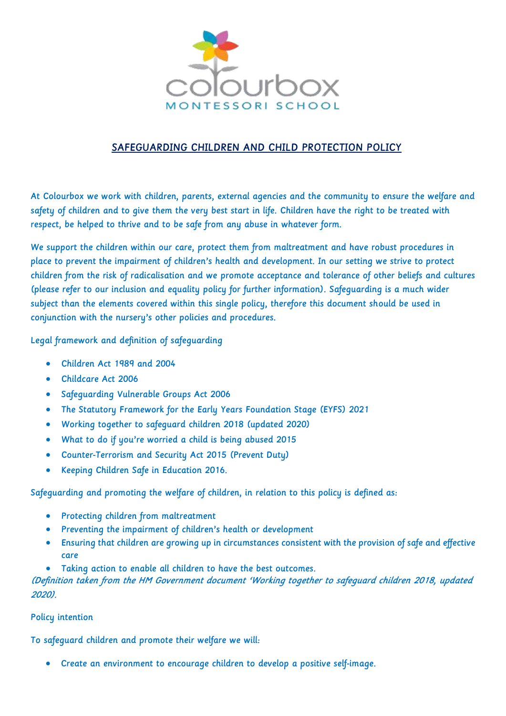

# SAFEGUARDING CHILDREN AND CHILD PROTECTION POLICY

At Colourbox we work with children, parents, external agencies and the community to ensure the welfare and safety of children and to give them the very best start in life. Children have the right to be treated with respect, be helped to thrive and to be safe from any abuse in whatever form.

We support the children within our care, protect them from maltreatment and have robust procedures in place to prevent the impairment of children's health and development. In our setting we strive to protect children from the risk of radicalisation and we promote acceptance and tolerance of other beliefs and cultures (please refer to our inclusion and equality policy for further information). Safeguarding is a much wider subject than the elements covered within this single policy, therefore this document should be used in conjunction with the nursery's other policies and procedures.

Legal framework and definition of safeguarding

- Children Act 1989 and 2004
- Childcare Act 2006
- Safeguarding Vulnerable Groups Act 2006
- The Statutory Framework for the Early Years Foundation Stage (EYFS) 2021
- Working together to safeguard children 2018 (updated 2020)
- What to do if you're worried a child is being abused 2015
- Counter-Terrorism and Security Act 2015 (Prevent Duty)
- Keeping Children Safe in Education 2016.

Safeguarding and promoting the welfare of children, in relation to this policy is defined as:

- Protecting children from maltreatment
- Preventing the impairment of children's health or development
- Ensuring that children are growing up in circumstances consistent with the provision of safe and effective care
- Taking action to enable all children to have the best outcomes.

(Definition taken from the HM Government document 'Working together to safeguard children 2018, updated 2020).

### Policy intention

To safeguard children and promote their welfare we will:

• Create an environment to encourage children to develop a positive self-image.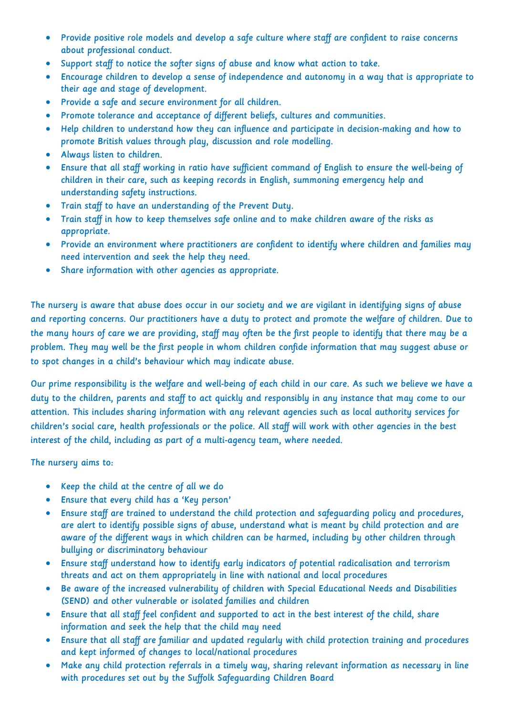- Provide positive role models and develop a safe culture where staff are confident to raise concerns about professional conduct.
- Support staff to notice the softer signs of abuse and know what action to take.
- Encourage children to develop a sense of independence and autonomy in a way that is appropriate to their age and stage of development.
- Provide a safe and secure environment for all children.
- Promote tolerance and acceptance of different beliefs, cultures and communities.
- Help children to understand how they can influence and participate in decision-making and how to promote British values through play, discussion and role modelling.
- Always listen to children.
- Ensure that all staff working in ratio have sufficient command of English to ensure the well-being of children in their care, such as keeping records in English, summoning emergency help and understanding safety instructions.
- Train staff to have an understanding of the Prevent Duty.
- Train staff in how to keep themselves safe online and to make children aware of the risks as appropriate.
- Provide an environment where practitioners are confident to identify where children and families may need intervention and seek the help they need.
- Share information with other agencies as appropriate.

The nursery is aware that abuse does occur in our society and we are vigilant in identifying signs of abuse and reporting concerns. Our practitioners have a duty to protect and promote the welfare of children. Due to the many hours of care we are providing, staff may often be the first people to identify that there may be a problem. They may well be the first people in whom children confide information that may suggest abuse or to spot changes in a child's behaviour which may indicate abuse.

Our prime responsibility is the welfare and well-being of each child in our care. As such we believe we have a duty to the children, parents and staff to act quickly and responsibly in any instance that may come to our attention. This includes sharing information with any relevant agencies such as local authority services for children's social care, health professionals or the police. All staff will work with other agencies in the best interest of the child, including as part of a multi-agency team, where needed.

The nursery aims to:

- Keep the child at the centre of all we do
- Ensure that every child has a 'Key person'
- Ensure staff are trained to understand the child protection and safeguarding policy and procedures, are alert to identify possible signs of abuse, understand what is meant by child protection and are aware of the different ways in which children can be harmed, including by other children through bullying or discriminatory behaviour
- Ensure staff understand how to identify early indicators of potential radicalisation and terrorism threats and act on them appropriately in line with national and local procedures
- Be aware of the increased vulnerability of children with Special Educational Needs and Disabilities (SEND) and other vulnerable or isolated families and children
- Ensure that all staff feel confident and supported to act in the best interest of the child, share information and seek the help that the child may need
- Ensure that all staff are familiar and updated regularly with child protection training and procedures and kept informed of changes to local/national procedures
- Make any child protection referrals in a timely way, sharing relevant information as necessary in line with procedures set out by the Suffolk Safeguarding Children Board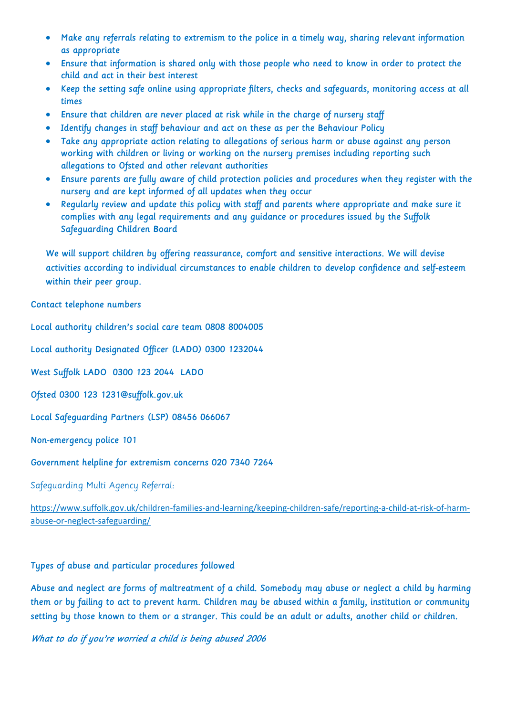- Make any referrals relating to extremism to the police in a timely way, sharing relevant information as appropriate
- Ensure that information is shared only with those people who need to know in order to protect the child and act in their best interest
- Keep the setting safe online using appropriate filters, checks and safeguards, monitoring access at all times
- Ensure that children are never placed at risk while in the charge of nursery staff
- Identify changes in staff behaviour and act on these as per the Behaviour Policy
- Take any appropriate action relating to allegations of serious harm or abuse against any person working with children or living or working on the nursery premises including reporting such allegations to Ofsted and other relevant authorities
- Ensure parents are fully aware of child protection policies and procedures when they register with the nursery and are kept informed of all updates when they occur
- Regularly review and update this policy with staff and parents where appropriate and make sure it complies with any legal requirements and any guidance or procedures issued by the Suffolk Safeguarding Children Board

We will support children by offering reassurance, comfort and sensitive interactions. We will devise activities according to individual circumstances to enable children to develop confidence and self-esteem within their peer group.

Contact telephone numbers

Local authority children's social care team 0808 8004005

Local authority Designated Officer (LADO) 0300 1232044

West Suffolk LADO 0300 123 2044 LADO

Ofsted 0300 123 1231@suffolk.gov.uk

Local Safeguarding Partners (LSP) 08456 066067

Non-emergency police 101

Government helpline for extremism concerns 020 7340 7264

Safeguarding Multi Agency Referral:

[https://www.suffolk.gov.uk/children-families-and-learning/keeping-children-safe/reporting-a-child-at-risk-of-harm](https://www.suffolk.gov.uk/children-families-and-learning/keeping-children-safe/reporting-a-child-at-risk-of-harm-abuse-or-neglect-safeguarding/)[abuse-or-neglect-safeguarding/](https://www.suffolk.gov.uk/children-families-and-learning/keeping-children-safe/reporting-a-child-at-risk-of-harm-abuse-or-neglect-safeguarding/)

# Types of abuse and particular procedures followed

Abuse and neglect are forms of maltreatment of a child. Somebody may abuse or neglect a child by harming them or by failing to act to prevent harm. Children may be abused within a family, institution or community setting by those known to them or a stranger. This could be an adult or adults, another child or children.

What to do if you're worried a child is being abused 2006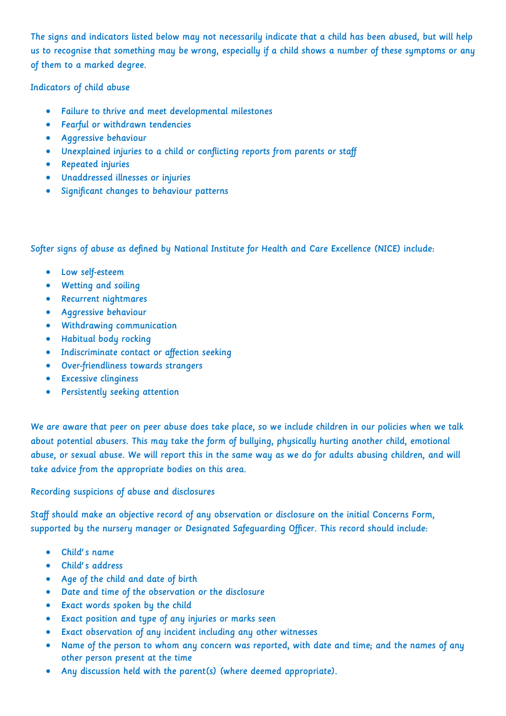The signs and indicators listed below may not necessarily indicate that a child has been abused, but will help us to recognise that something may be wrong, especially if a child shows a number of these symptoms or any of them to a marked degree.

Indicators of child abuse

- Failure to thrive and meet developmental milestones
- Fearful or withdrawn tendencies
- Aggressive behaviour
- Unexplained injuries to a child or conflicting reports from parents or staff
- Repeated injuries
- Unaddressed illnesses or injuries
- Significant changes to behaviour patterns

Softer signs of abuse as defined by National Institute for Health and Care Excellence (NICE) include:

- Low self-esteem
- Wetting and soiling
- Recurrent nightmares
- Aggressive behaviour
- Withdrawing communication
- Habitual body rocking
- Indiscriminate contact or affection seeking
- Over-friendliness towards strangers
- Excessive clinginess
- Persistently seeking attention

We are aware that peer on peer abuse does take place, so we include children in our policies when we talk about potential abusers. This may take the form of bullying, physically hurting another child, emotional abuse, or sexual abuse. We will report this in the same way as we do for adults abusing children, and will take advice from the appropriate bodies on this area.

Recording suspicions of abuse and disclosures

Staff should make an objective record of any observation or disclosure on the initial Concerns Form, supported by the nursery manager or Designated Safeguarding Officer. This record should include:

- Child's name
- Child's address
- Age of the child and date of birth
- Date and time of the observation or the disclosure
- Exact words spoken by the child
- Exact position and type of any injuries or marks seen
- Exact observation of any incident including any other witnesses
- Name of the person to whom any concern was reported, with date and time; and the names of any other person present at the time
- Any discussion held with the parent(s) (where deemed appropriate).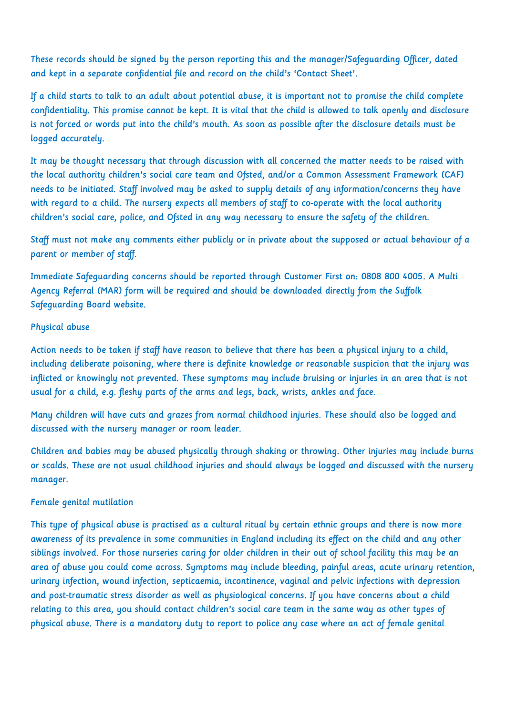These records should be signed by the person reporting this and the manager/Safeguarding Officer, dated and kept in a separate confidential file and record on the child's 'Contact Sheet'.

If a child starts to talk to an adult about potential abuse, it is important not to promise the child complete confidentiality. This promise cannot be kept. It is vital that the child is allowed to talk openly and disclosure is not forced or words put into the child's mouth. As soon as possible after the disclosure details must be logged accurately.

It may be thought necessary that through discussion with all concerned the matter needs to be raised with the local authority children's social care team and Ofsted, and/or a Common Assessment Framework (CAF) needs to be initiated. Staff involved may be asked to supply details of any information/concerns they have with regard to a child. The nursery expects all members of staff to co-operate with the local authority children's social care, police, and Ofsted in any way necessary to ensure the safety of the children.

Staff must not make any comments either publicly or in private about the supposed or actual behaviour of a parent or member of staff.

Immediate Safeguarding concerns should be reported through Customer First on: 0808 800 4005. A Multi Agency Referral (MAR) form will be required and should be downloaded directly from the Suffolk Safeguarding Board website.

#### Physical abuse

Action needs to be taken if staff have reason to believe that there has been a physical injury to a child, including deliberate poisoning, where there is definite knowledge or reasonable suspicion that the injury was inflicted or knowingly not prevented. These symptoms may include bruising or injuries in an area that is not usual for a child, e.g. fleshy parts of the arms and legs, back, wrists, ankles and face.

Many children will have cuts and grazes from normal childhood injuries. These should also be logged and discussed with the nursery manager or room leader.

Children and babies may be abused physically through shaking or throwing. Other injuries may include burns or scalds. These are not usual childhood injuries and should always be logged and discussed with the nursery manager.

#### Female genital mutilation

This type of physical abuse is practised as a cultural ritual by certain ethnic groups and there is now more awareness of its prevalence in some communities in England including its effect on the child and any other siblings involved. For those nurseries caring for older children in their out of school facility this may be an area of abuse you could come across. Symptoms may include bleeding, painful areas, acute urinary retention, urinary infection, wound infection, septicaemia, incontinence, vaginal and pelvic infections with depression and post-traumatic stress disorder as well as physiological concerns. If you have concerns about a child relating to this area, you should contact children's social care team in the same way as other types of physical abuse. There is a mandatory duty to report to police any case where an act of female genital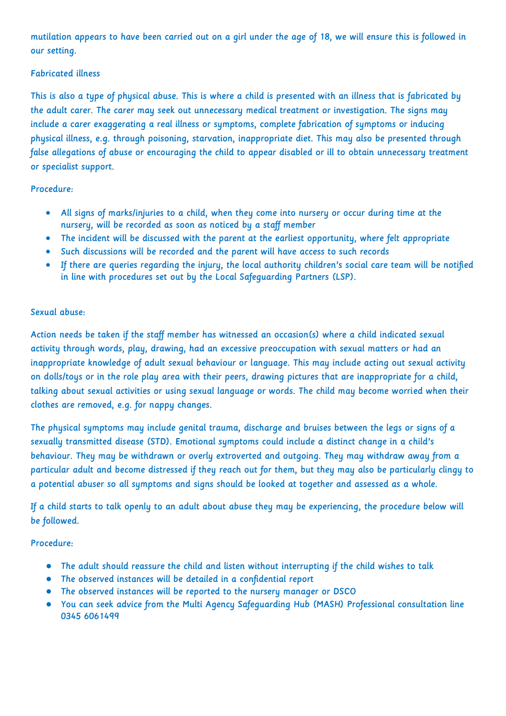mutilation appears to have been carried out on a girl under the age of 18, we will ensure this is followed in our setting.

# Fabricated illness

This is also a type of physical abuse. This is where a child is presented with an illness that is fabricated by the adult carer. The carer may seek out unnecessary medical treatment or investigation. The signs may include a carer exaggerating a real illness or symptoms, complete fabrication of symptoms or inducing physical illness, e.g. through poisoning, starvation, inappropriate diet. This may also be presented through false allegations of abuse or encouraging the child to appear disabled or ill to obtain unnecessary treatment or specialist support.

### Procedure:

- All signs of marks/injuries to a child, when they come into nursery or occur during time at the nursery, will be recorded as soon as noticed by a staff member
- The incident will be discussed with the parent at the earliest opportunity, where felt appropriate
- Such discussions will be recorded and the parent will have access to such records
- If there are queries regarding the injury, the local authority children's social care team will be notified in line with procedures set out by the Local Safeguarding Partners (LSP).

### Sexual abuse:

Action needs be taken if the staff member has witnessed an occasion(s) where a child indicated sexual activity through words, play, drawing, had an excessive preoccupation with sexual matters or had an inappropriate knowledge of adult sexual behaviour or language. This may include acting out sexual activity on dolls/toys or in the role play area with their peers, drawing pictures that are inappropriate for a child, talking about sexual activities or using sexual language or words. The child may become worried when their clothes are removed, e.g. for nappy changes.

The physical symptoms may include genital trauma, discharge and bruises between the legs or signs of a sexually transmitted disease (STD). Emotional symptoms could include a distinct change in a child's behaviour. They may be withdrawn or overly extroverted and outgoing. They may withdraw away from a particular adult and become distressed if they reach out for them, but they may also be particularly clingy to a potential abuser so all symptoms and signs should be looked at together and assessed as a whole.

If a child starts to talk openly to an adult about abuse they may be experiencing, the procedure below will be followed.

### Procedure:

- The adult should reassure the child and listen without interrupting if the child wishes to talk
- The observed instances will be detailed in a confidential report
- The observed instances will be reported to the nursery manager or DSCO
- You can seek advice from the Multi Agency Safeguarding Hub (MASH) Professional consultation line 0345 6061499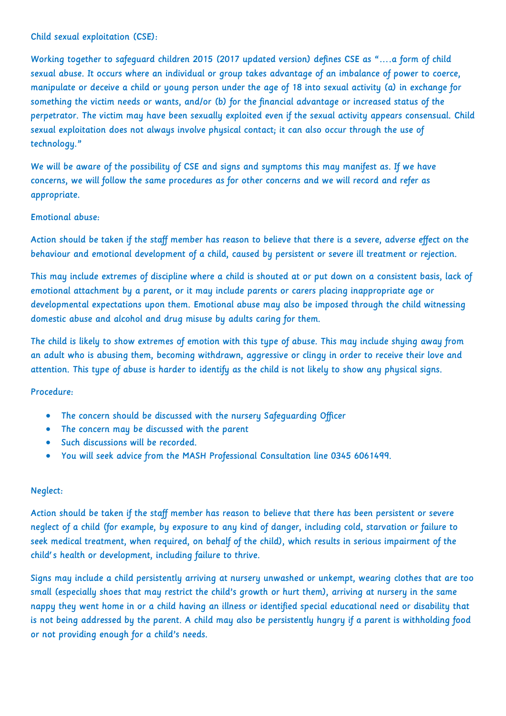Child sexual exploitation (CSE):

Working together to safeguard children 2015 (2017 updated version) defines CSE as "….a form of child sexual abuse. It occurs where an individual or group takes advantage of an imbalance of power to coerce, manipulate or deceive a child or young person under the age of 18 into sexual activity (a) in exchange for something the victim needs or wants, and/or (b) for the financial advantage or increased status of the perpetrator. The victim may have been sexually exploited even if the sexual activity appears consensual. Child sexual exploitation does not always involve physical contact; it can also occur through the use of technology."

We will be aware of the possibility of CSE and signs and symptoms this may manifest as. If we have concerns, we will follow the same procedures as for other concerns and we will record and refer as appropriate.

# Emotional abuse:

Action should be taken if the staff member has reason to believe that there is a severe, adverse effect on the behaviour and emotional development of a child, caused by persistent or severe ill treatment or rejection.

This may include extremes of discipline where a child is shouted at or put down on a consistent basis, lack of emotional attachment by a parent, or it may include parents or carers placing inappropriate age or developmental expectations upon them. Emotional abuse may also be imposed through the child witnessing domestic abuse and alcohol and drug misuse by adults caring for them.

The child is likely to show extremes of emotion with this type of abuse. This may include shying away from an adult who is abusing them, becoming withdrawn, aggressive or clingy in order to receive their love and attention. This type of abuse is harder to identify as the child is not likely to show any physical signs.

# Procedure:

- The concern should be discussed with the nursery Safeguarding Officer
- The concern may be discussed with the parent
- Such discussions will be recorded.
- You will seek advice from the MASH Professional Consultation line 0345 6061499.

# Neglect:

Action should be taken if the staff member has reason to believe that there has been persistent or severe neglect of a child (for example, by exposure to any kind of danger, including cold, starvation or failure to seek medical treatment, when required, on behalf of the child), which results in serious impairment of the child's health or development, including failure to thrive.

Signs may include a child persistently arriving at nursery unwashed or unkempt, wearing clothes that are too small (especially shoes that may restrict the child's growth or hurt them), arriving at nursery in the same nappy they went home in or a child having an illness or identified special educational need or disability that is not being addressed by the parent. A child may also be persistently hungry if a parent is withholding food or not providing enough for a child's needs.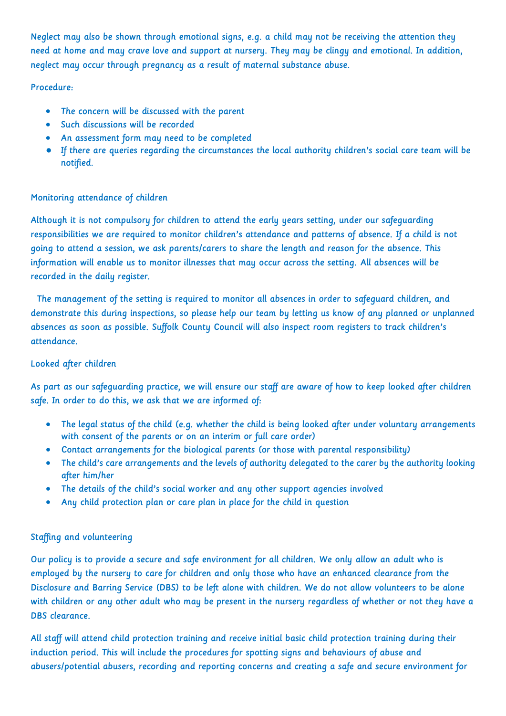Neglect may also be shown through emotional signs, e.g. a child may not be receiving the attention they need at home and may crave love and support at nursery. They may be clingy and emotional. In addition, neglect may occur through pregnancy as a result of maternal substance abuse.

## Procedure:

- The concern will be discussed with the parent
- Such discussions will be recorded
- An assessment form may need to be completed
- If there are queries regarding the circumstances the local authority children's social care team will be notified.

### Monitoring attendance of children

Although it is not compulsory for children to attend the early years setting, under our safeguarding responsibilities we are required to monitor children's attendance and patterns of absence. If a child is not going to attend a session, we ask parents/carers to share the length and reason for the absence. This information will enable us to monitor illnesses that may occur across the setting. All absences will be recorded in the daily register.

 The management of the setting is required to monitor all absences in order to safeguard children, and demonstrate this during inspections, so please help our team by letting us know of any planned or unplanned absences as soon as possible. Suffolk County Council will also inspect room registers to track children's attendance.

### Looked after children

As part as our safeguarding practice, we will ensure our staff are aware of how to keep looked after children safe. In order to do this, we ask that we are informed of:

- The legal status of the child (e.g. whether the child is being looked after under voluntary arrangements with consent of the parents or on an interim or full care order)
- Contact arrangements for the biological parents (or those with parental responsibility)
- The child's care arrangements and the levels of authority delegated to the carer by the authority looking after him/her
- The details of the child's social worker and any other support agencies involved
- Any child protection plan or care plan in place for the child in question

# Staffing and volunteering

Our policy is to provide a secure and safe environment for all children. We only allow an adult who is employed by the nursery to care for children and only those who have an enhanced clearance from the Disclosure and Barring Service (DBS) to be left alone with children. We do not allow volunteers to be alone with children or any other adult who may be present in the nursery regardless of whether or not they have a DBS clearance.

All staff will attend child protection training and receive initial basic child protection training during their induction period. This will include the procedures for spotting signs and behaviours of abuse and abusers/potential abusers, recording and reporting concerns and creating a safe and secure environment for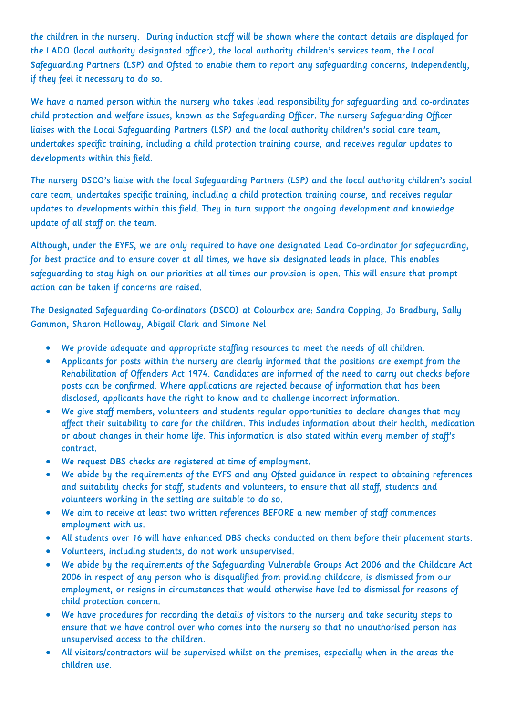the children in the nursery. During induction staff will be shown where the contact details are displayed for the LADO (local authority designated officer), the local authority children's services team, the Local Safeguarding Partners (LSP) and Ofsted to enable them to report any safeguarding concerns, independently, if they feel it necessary to do so.

We have a named person within the nursery who takes lead responsibility for safeguarding and co-ordinates child protection and welfare issues, known as the Safeguarding Officer. The nursery Safeguarding Officer liaises with the Local Safeguarding Partners (LSP) and the local authority children's social care team, undertakes specific training, including a child protection training course, and receives regular updates to developments within this field.

The nursery DSCO's liaise with the local Safeguarding Partners (LSP) and the local authority children's social care team, undertakes specific training, including a child protection training course, and receives regular updates to developments within this field. They in turn support the ongoing development and knowledge update of all staff on the team.

Although, under the EYFS, we are only required to have one designated Lead Co-ordinator for safeguarding, for best practice and to ensure cover at all times, we have six designated leads in place. This enables safeguarding to stay high on our priorities at all times our provision is open. This will ensure that prompt action can be taken if concerns are raised.

The Designated Safeguarding Co-ordinators (DSCO) at Colourbox are: Sandra Copping, Jo Bradbury, Sally Gammon, Sharon Holloway, Abigail Clark and Simone Nel

- We provide adequate and appropriate staffing resources to meet the needs of all children.
- Applicants for posts within the nursery are clearly informed that the positions are exempt from the Rehabilitation of Offenders Act 1974. Candidates are informed of the need to carry out checks before posts can be confirmed. Where applications are rejected because of information that has been disclosed, applicants have the right to know and to challenge incorrect information.
- We give staff members, volunteers and students regular opportunities to declare changes that may affect their suitability to care for the children. This includes information about their health, medication or about changes in their home life. This information is also stated within every member of staff's contract.
- We request DBS checks are registered at time of employment.
- We abide by the requirements of the EYFS and any Ofsted guidance in respect to obtaining references and suitability checks for staff, students and volunteers, to ensure that all staff, students and volunteers working in the setting are suitable to do so.
- We aim to receive at least two written references BEFORE a new member of staff commences employment with us.
- All students over 16 will have enhanced DBS checks conducted on them before their placement starts.
- Volunteers, including students, do not work unsupervised.
- We abide by the requirements of the Safeguarding Vulnerable Groups Act 2006 and the Childcare Act 2006 in respect of any person who is disqualified from providing childcare, is dismissed from our employment, or resigns in circumstances that would otherwise have led to dismissal for reasons of child protection concern.
- We have procedures for recording the details of visitors to the nursery and take security steps to ensure that we have control over who comes into the nursery so that no unauthorised person has unsupervised access to the children.
- All visitors/contractors will be supervised whilst on the premises, especially when in the areas the children use.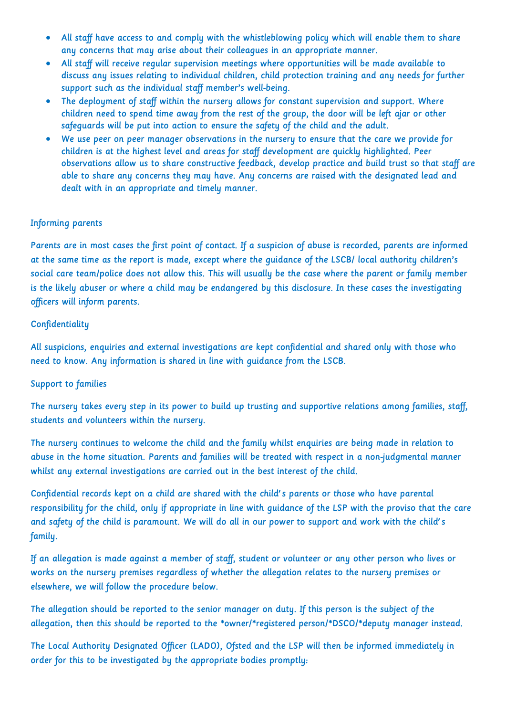- All staff have access to and comply with the whistleblowing policy which will enable them to share any concerns that may arise about their colleagues in an appropriate manner.
- All staff will receive regular supervision meetings where opportunities will be made available to discuss any issues relating to individual children, child protection training and any needs for further support such as the individual staff member's well-being.
- The deployment of staff within the nursery allows for constant supervision and support. Where children need to spend time away from the rest of the group, the door will be left ajar or other safeguards will be put into action to ensure the safety of the child and the adult.
- We use peer on peer manager observations in the nursery to ensure that the care we provide for children is at the highest level and areas for staff development are quickly highlighted. Peer observations allow us to share constructive feedback, develop practice and build trust so that staff are able to share any concerns they may have. Any concerns are raised with the designated lead and dealt with in an appropriate and timely manner.

### Informing parents

Parents are in most cases the first point of contact. If a suspicion of abuse is recorded, parents are informed at the same time as the report is made, except where the guidance of the LSCB/ local authority children's social care team/police does not allow this. This will usually be the case where the parent or family member is the likely abuser or where a child may be endangered by this disclosure. In these cases the investigating officers will inform parents.

### **Confidentiality**

All suspicions, enquiries and external investigations are kept confidential and shared only with those who need to know. Any information is shared in line with guidance from the LSCB.

### Support to families

The nursery takes every step in its power to build up trusting and supportive relations among families, staff, students and volunteers within the nursery.

The nursery continues to welcome the child and the family whilst enquiries are being made in relation to abuse in the home situation. Parents and families will be treated with respect in a non-judgmental manner whilst any external investigations are carried out in the best interest of the child.

Confidential records kept on a child are shared with the child's parents or those who have parental responsibility for the child, only if appropriate in line with guidance of the LSP with the proviso that the care and safety of the child is paramount. We will do all in our power to support and work with the child's family.

If an allegation is made against a member of staff, student or volunteer or any other person who lives or works on the nursery premises regardless of whether the allegation relates to the nursery premises or elsewhere, we will follow the procedure below.

The allegation should be reported to the senior manager on duty. If this person is the subject of the allegation, then this should be reported to the \*owner/\*registered person/\*DSCO/\*deputy manager instead.

The Local Authority Designated Officer (LADO), Ofsted and the LSP will then be informed immediately in order for this to be investigated by the appropriate bodies promptly: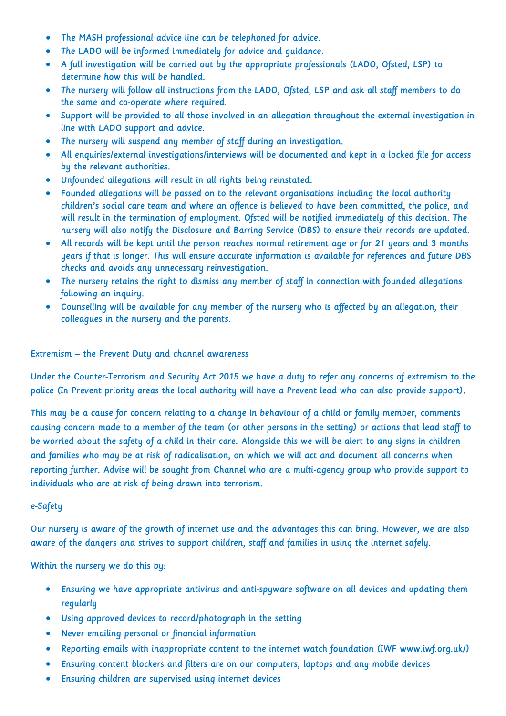- The MASH professional advice line can be telephoned for advice.
- The LADO will be informed immediately for advice and quidance.
- A full investigation will be carried out by the appropriate professionals (LADO, Ofsted, LSP) to determine how this will be handled.
- The nursery will follow all instructions from the LADO, Ofsted, LSP and ask all staff members to do the same and co-operate where required.
- Support will be provided to all those involved in an allegation throughout the external investigation in line with LADO support and advice.
- The nursery will suspend any member of staff during an investigation.
- All enquiries/external investigations/interviews will be documented and kept in a locked file for access by the relevant authorities.
- Unfounded allegations will result in all rights being reinstated.
- Founded allegations will be passed on to the relevant organisations including the local authority children's social care team and where an offence is believed to have been committed, the police, and will result in the termination of employment. Ofsted will be notified immediately of this decision. The nursery will also notify the Disclosure and Barring Service (DBS) to ensure their records are updated.
- All records will be kept until the person reaches normal retirement age or for 21 years and 3 months years if that is longer. This will ensure accurate information is available for references and future DBS checks and avoids any unnecessary reinvestigation.
- The nursery retains the right to dismiss any member of staff in connection with founded allegations following an inquiry.
- Counselling will be available for any member of the nursery who is affected by an allegation, their colleagues in the nursery and the parents.

#### Extremism – the Prevent Duty and channel awareness

Under the Counter-Terrorism and Security Act 2015 we have a duty to refer any concerns of extremism to the police (In Prevent priority areas the local authority will have a Prevent lead who can also provide support).

This may be a cause for concern relating to a change in behaviour of a child or family member, comments causing concern made to a member of the team (or other persons in the setting) or actions that lead staff to be worried about the safety of a child in their care. Alongside this we will be alert to any signs in children and families who may be at risk of radicalisation, on which we will act and document all concerns when reporting further. Advise will be sought from Channel who are a multi-agency group who provide support to individuals who are at risk of being drawn into terrorism.

#### e-Safety

Our nursery is aware of the growth of internet use and the advantages this can bring. However, we are also aware of the dangers and strives to support children, staff and families in using the internet safely.

Within the nursery we do this by:

- Ensuring we have appropriate antivirus and anti-spyware software on all devices and updating them regularly
- Using approved devices to record/photograph in the setting
- Never emailing personal or financial information
- Reporting emails with inappropriate content to the internet watch foundation (IWF [www.iwf.org.uk/\)](https://www.iwf.org.uk/)
- Ensuring content blockers and filters are on our computers, laptops and any mobile devices
- Ensuring children are supervised using internet devices